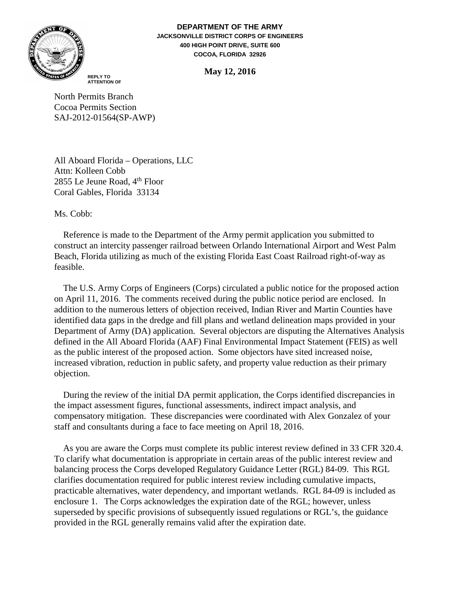

**DEPARTMENT OF THE ARMY JACKSONVILLE DISTRICT CORPS OF ENGINEERS 400 HIGH POINT DRIVE, SUITE 600 COCOA, FLORIDA 32926**

**May 12, 2016 REPLY TO**

**ATTENTION OF**

North Permits Branch Cocoa Permits Section SAJ-2012-01564(SP-AWP)

All Aboard Florida – Operations, LLC Attn: Kolleen Cobb 2855 Le Jeune Road,  $4<sup>th</sup>$  Floor Coral Gables, Florida 33134

Ms. Cobb:

 Reference is made to the Department of the Army permit application you submitted to construct an intercity passenger railroad between Orlando International Airport and West Palm Beach, Florida utilizing as much of the existing Florida East Coast Railroad right-of-way as feasible.

 The U.S. Army Corps of Engineers (Corps) circulated a public notice for the proposed action on April 11, 2016. The comments received during the public notice period are enclosed. In addition to the numerous letters of objection received, Indian River and Martin Counties have identified data gaps in the dredge and fill plans and wetland delineation maps provided in your Department of Army (DA) application. Several objectors are disputing the Alternatives Analysis defined in the All Aboard Florida (AAF) Final Environmental Impact Statement (FEIS) as well as the public interest of the proposed action. Some objectors have sited increased noise, increased vibration, reduction in public safety, and property value reduction as their primary objection.

 During the review of the initial DA permit application, the Corps identified discrepancies in the impact assessment figures, functional assessments, indirect impact analysis, and compensatory mitigation. These discrepancies were coordinated with Alex Gonzalez of your staff and consultants during a face to face meeting on April 18, 2016.

 As you are aware the Corps must complete its public interest review defined in 33 CFR 320.4. To clarify what documentation is appropriate in certain areas of the public interest review and balancing process the Corps developed Regulatory Guidance Letter (RGL) 84-09. This RGL clarifies documentation required for public interest review including cumulative impacts, practicable alternatives, water dependency, and important wetlands. RGL 84-09 is included as enclosure 1. The Corps acknowledges the expiration date of the RGL; however, unless superseded by specific provisions of subsequently issued regulations or RGL's, the guidance provided in the RGL generally remains valid after the expiration date.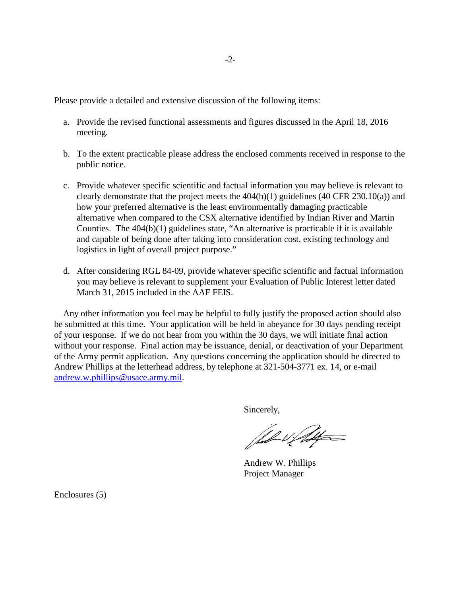Please provide a detailed and extensive discussion of the following items:

- a. Provide the revised functional assessments and figures discussed in the April 18, 2016 meeting.
- b. To the extent practicable please address the enclosed comments received in response to the public notice.
- c. Provide whatever specific scientific and factual information you may believe is relevant to clearly demonstrate that the project meets the  $404(b)(1)$  guidelines  $(40 \text{ CFR } 230.10(a))$  and how your preferred alternative is the least environmentally damaging practicable alternative when compared to the CSX alternative identified by Indian River and Martin Counties. The 404(b)(1) guidelines state, "An alternative is practicable if it is available and capable of being done after taking into consideration cost, existing technology and logistics in light of overall project purpose."
- d. After considering RGL 84-09, provide whatever specific scientific and factual information you may believe is relevant to supplement your Evaluation of Public Interest letter dated March 31, 2015 included in the AAF FEIS.

 Any other information you feel may be helpful to fully justify the proposed action should also be submitted at this time. Your application will be held in abeyance for 30 days pending receipt of your response. If we do not hear from you within the 30 days, we will initiate final action without your response. Final action may be issuance, denial, or deactivation of your Department of the Army permit application. Any questions concerning the application should be directed to Andrew Phillips at the letterhead address, by telephone at 321-504-3771 ex. 14, or e-mail [andrew.w.phillips@usace.army.mil.](mailto:andrew.w.phillips@usace.army.mil)

Sincerely,

full Unit

 Andrew W. Phillips Project Manager

Enclosures (5)